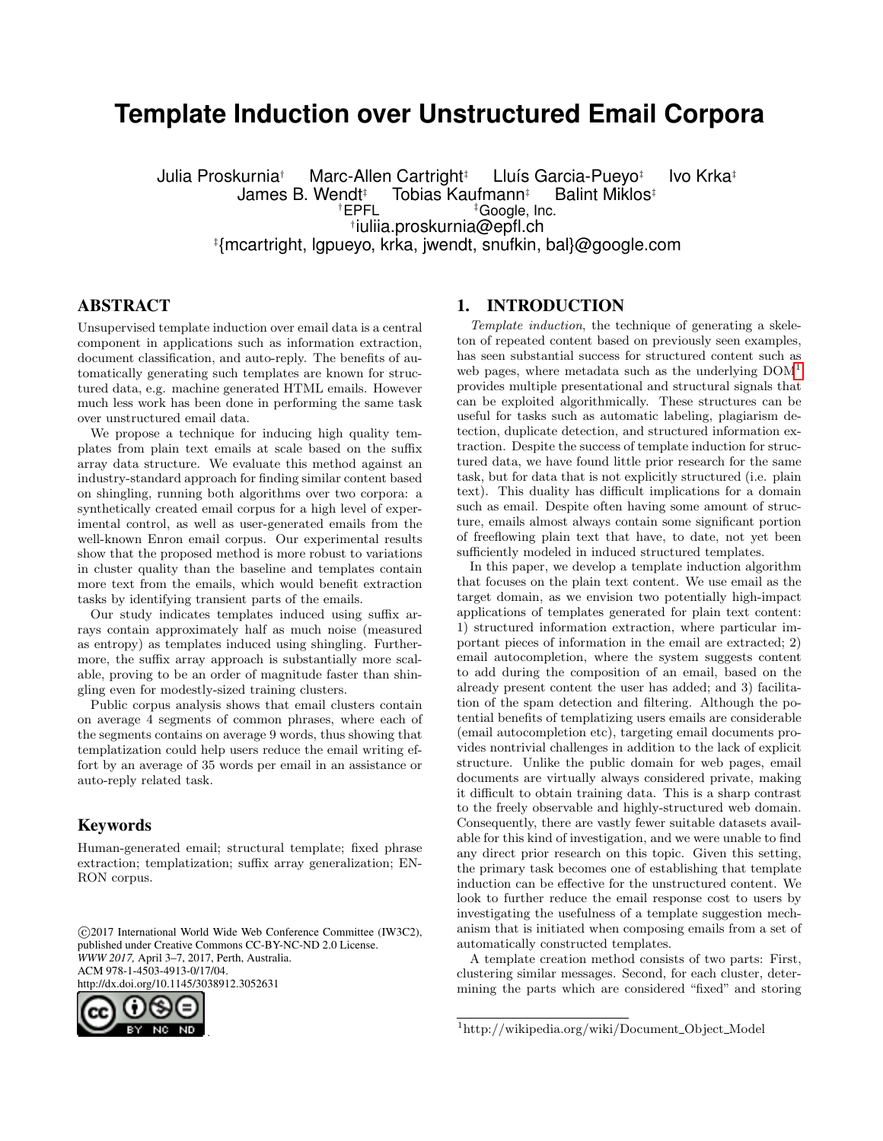# **Template Induction over Unstructured Email Corpora**

Julia Proskurnia† Marc-Allen Cartright‡ Lluís Garcia-Pueyo‡ Ivo Krka‡ James B. Wendt<sup>‡</sup> Tobias Kaufmann<sup>‡</sup> Balint Miklos<sup>‡</sup><br>FREL <sup>‡</sup>Google, Inc. † iuliia.proskurnia@epfl.ch ‡ {mcartright, lgpueyo, krka, jwendt, snufkin, bal}@google.com

# ABSTRACT

Unsupervised template induction over email data is a central component in applications such as information extraction, document classification, and auto-reply. The benefits of automatically generating such templates are known for structured data, e.g. machine generated HTML emails. However much less work has been done in performing the same task over unstructured email data.

We propose a technique for inducing high quality templates from plain text emails at scale based on the suffix array data structure. We evaluate this method against an industry-standard approach for finding similar content based on shingling, running both algorithms over two corpora: a synthetically created email corpus for a high level of experimental control, as well as user-generated emails from the well-known Enron email corpus. Our experimental results show that the proposed method is more robust to variations in cluster quality than the baseline and templates contain more text from the emails, which would benefit extraction tasks by identifying transient parts of the emails.

Our study indicates templates induced using suffix arrays contain approximately half as much noise (measured as entropy) as templates induced using shingling. Furthermore, the suffix array approach is substantially more scalable, proving to be an order of magnitude faster than shingling even for modestly-sized training clusters.

Public corpus analysis shows that email clusters contain on average 4 segments of common phrases, where each of the segments contains on average 9 words, thus showing that templatization could help users reduce the email writing effort by an average of 35 words per email in an assistance or auto-reply related task.

### Keywords

Human-generated email; structural template; fixed phrase extraction; templatization; suffix array generalization; EN-RON corpus.

 c 2017 International World Wide Web Conference Committee (IW3C2), published under Creative Commons CC-BY-NC-ND 2.0 License. *WWW 2017,* April 3–7, 2017, Perth, Australia. ACM 978-1-4503-4913-0/17/04. http://dx.doi.org/10.1145/3038912.3052631



### 1. INTRODUCTION

Template induction, the technique of generating a skeleton of repeated content based on previously seen examples, has seen substantial success for structured content such as web pages, where metadata such as the underlying DOM[1](#page-0-0) provides multiple presentational and structural signals that can be exploited algorithmically. These structures can be useful for tasks such as automatic labeling, plagiarism detection, duplicate detection, and structured information extraction. Despite the success of template induction for structured data, we have found little prior research for the same task, but for data that is not explicitly structured (i.e. plain text). This duality has difficult implications for a domain such as email. Despite often having some amount of structure, emails almost always contain some significant portion of freeflowing plain text that have, to date, not yet been sufficiently modeled in induced structured templates.

In this paper, we develop a template induction algorithm that focuses on the plain text content. We use email as the target domain, as we envision two potentially high-impact applications of templates generated for plain text content: 1) structured information extraction, where particular important pieces of information in the email are extracted; 2) email autocompletion, where the system suggests content to add during the composition of an email, based on the already present content the user has added; and 3) facilitation of the spam detection and filtering. Although the potential benefits of templatizing users emails are considerable (email autocompletion etc), targeting email documents provides nontrivial challenges in addition to the lack of explicit structure. Unlike the public domain for web pages, email documents are virtually always considered private, making it difficult to obtain training data. This is a sharp contrast to the freely observable and highly-structured web domain. Consequently, there are vastly fewer suitable datasets available for this kind of investigation, and we were unable to find any direct prior research on this topic. Given this setting, the primary task becomes one of establishing that template induction can be effective for the unstructured content. We look to further reduce the email response cost to users by investigating the usefulness of a template suggestion mechanism that is initiated when composing emails from a set of automatically constructed templates.

A template creation method consists of two parts: First, clustering similar messages. Second, for each cluster, determining the parts which are considered "fixed" and storing

<span id="page-0-0"></span><sup>&</sup>lt;sup>1</sup>http://wikipedia.org/wiki/Document\_Object\_Model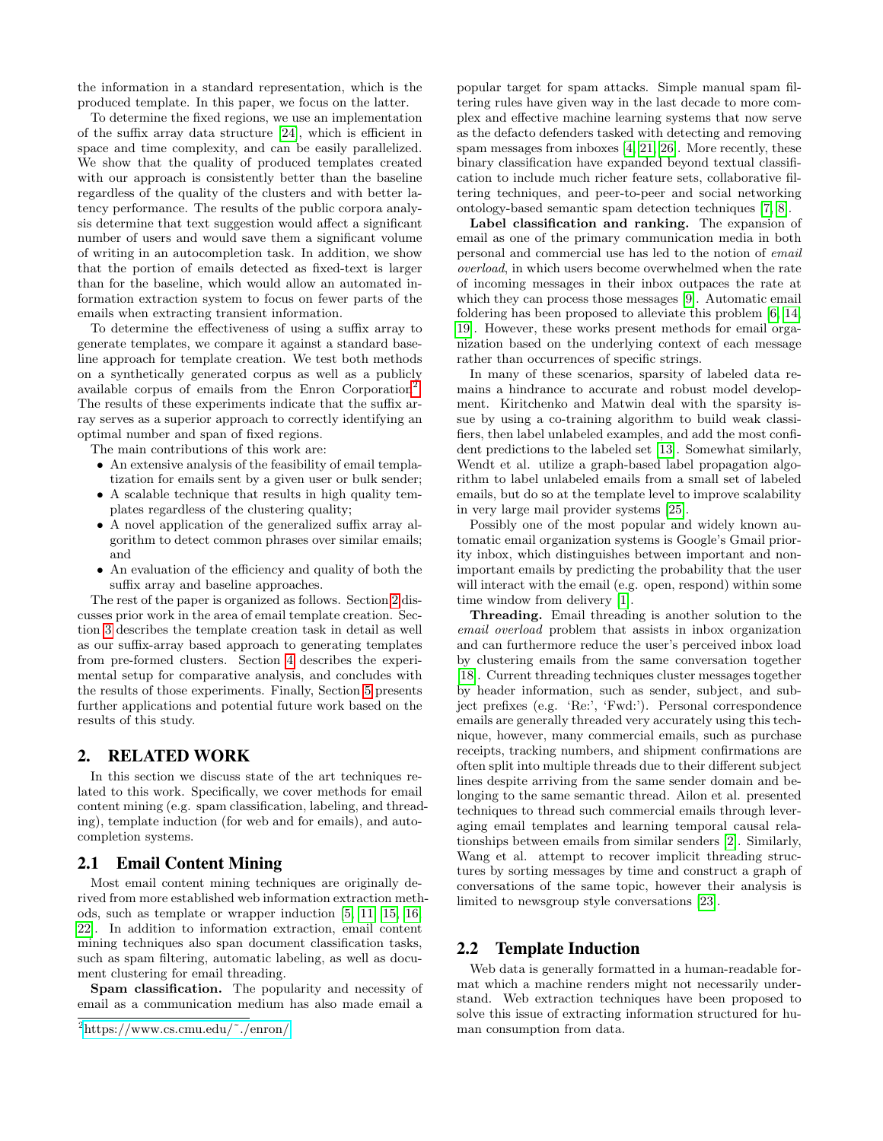the information in a standard representation, which is the produced template. In this paper, we focus on the latter.

To determine the fixed regions, we use an implementation of the suffix array data structure [\[24\]](#page-9-0), which is efficient in space and time complexity, and can be easily parallelized. We show that the quality of produced templates created with our approach is consistently better than the baseline regardless of the quality of the clusters and with better latency performance. The results of the public corpora analysis determine that text suggestion would affect a significant number of users and would save them a significant volume of writing in an autocompletion task. In addition, we show that the portion of emails detected as fixed-text is larger than for the baseline, which would allow an automated information extraction system to focus on fewer parts of the emails when extracting transient information.

To determine the effectiveness of using a suffix array to generate templates, we compare it against a standard baseline approach for template creation. We test both methods on a synthetically generated corpus as well as a publicly available corpus of emails from the Enron Corporation<sup>[2](#page-1-0)</sup>. The results of these experiments indicate that the suffix array serves as a superior approach to correctly identifying an optimal number and span of fixed regions.

The main contributions of this work are:

- An extensive analysis of the feasibility of email templatization for emails sent by a given user or bulk sender;
- A scalable technique that results in high quality templates regardless of the clustering quality;
- A novel application of the generalized suffix array algorithm to detect common phrases over similar emails; and
- An evaluation of the efficiency and quality of both the suffix array and baseline approaches.

The rest of the paper is organized as follows. Section [2](#page-1-1) discusses prior work in the area of email template creation. Section [3](#page-2-0) describes the template creation task in detail as well as our suffix-array based approach to generating templates from pre-formed clusters. Section [4](#page-5-0) describes the experimental setup for comparative analysis, and concludes with the results of those experiments. Finally, Section [5](#page-8-0) presents further applications and potential future work based on the results of this study.

### <span id="page-1-1"></span>2. RELATED WORK

In this section we discuss state of the art techniques related to this work. Specifically, we cover methods for email content mining (e.g. spam classification, labeling, and threading), template induction (for web and for emails), and autocompletion systems.

# 2.1 Email Content Mining

Most email content mining techniques are originally derived from more established web information extraction methods, such as template or wrapper induction [\[5,](#page-9-1) [11,](#page-9-2) [15,](#page-9-3) [16,](#page-9-4) [22\]](#page-9-5). In addition to information extraction, email content mining techniques also span document classification tasks, such as spam filtering, automatic labeling, as well as document clustering for email threading.

Spam classification. The popularity and necessity of email as a communication medium has also made email a popular target for spam attacks. Simple manual spam filtering rules have given way in the last decade to more complex and effective machine learning systems that now serve as the defacto defenders tasked with detecting and removing spam messages from inboxes [\[4,](#page-9-6) [21,](#page-9-7) [26\]](#page-9-8). More recently, these binary classification have expanded beyond textual classification to include much richer feature sets, collaborative filtering techniques, and peer-to-peer and social networking ontology-based semantic spam detection techniques [\[7,](#page-9-9) [8\]](#page-9-10).

Label classification and ranking. The expansion of email as one of the primary communication media in both personal and commercial use has led to the notion of email overload, in which users become overwhelmed when the rate of incoming messages in their inbox outpaces the rate at which they can process those messages [\[9\]](#page-9-11). Automatic email foldering has been proposed to alleviate this problem [\[6,](#page-9-12) [14,](#page-9-13) [19\]](#page-9-14). However, these works present methods for email organization based on the underlying context of each message rather than occurrences of specific strings.

In many of these scenarios, sparsity of labeled data remains a hindrance to accurate and robust model development. Kiritchenko and Matwin deal with the sparsity issue by using a co-training algorithm to build weak classifiers, then label unlabeled examples, and add the most confident predictions to the labeled set [\[13\]](#page-9-15). Somewhat similarly, Wendt et al. utilize a graph-based label propagation algorithm to label unlabeled emails from a small set of labeled emails, but do so at the template level to improve scalability in very large mail provider systems [\[25\]](#page-9-16).

Possibly one of the most popular and widely known automatic email organization systems is Google's Gmail priority inbox, which distinguishes between important and nonimportant emails by predicting the probability that the user will interact with the email (e.g. open, respond) within some time window from delivery [\[1\]](#page-8-1).

Threading. Email threading is another solution to the email overload problem that assists in inbox organization and can furthermore reduce the user's perceived inbox load by clustering emails from the same conversation together [\[18\]](#page-9-17). Current threading techniques cluster messages together by header information, such as sender, subject, and subject prefixes (e.g. 'Re:', 'Fwd:'). Personal correspondence emails are generally threaded very accurately using this technique, however, many commercial emails, such as purchase receipts, tracking numbers, and shipment confirmations are often split into multiple threads due to their different subject lines despite arriving from the same sender domain and belonging to the same semantic thread. Ailon et al. presented techniques to thread such commercial emails through leveraging email templates and learning temporal causal relationships between emails from similar senders [\[2\]](#page-9-18). Similarly, Wang et al. attempt to recover implicit threading structures by sorting messages by time and construct a graph of conversations of the same topic, however their analysis is limited to newsgroup style conversations [\[23\]](#page-9-19).

### 2.2 Template Induction

Web data is generally formatted in a human-readable format which a machine renders might not necessarily understand. Web extraction techniques have been proposed to solve this issue of extracting information structured for human consumption from data.

<span id="page-1-0"></span><sup>2</sup>[https://www.cs.cmu.edu/˜./enron/](https://www.cs.cmu.edu/~./enron/)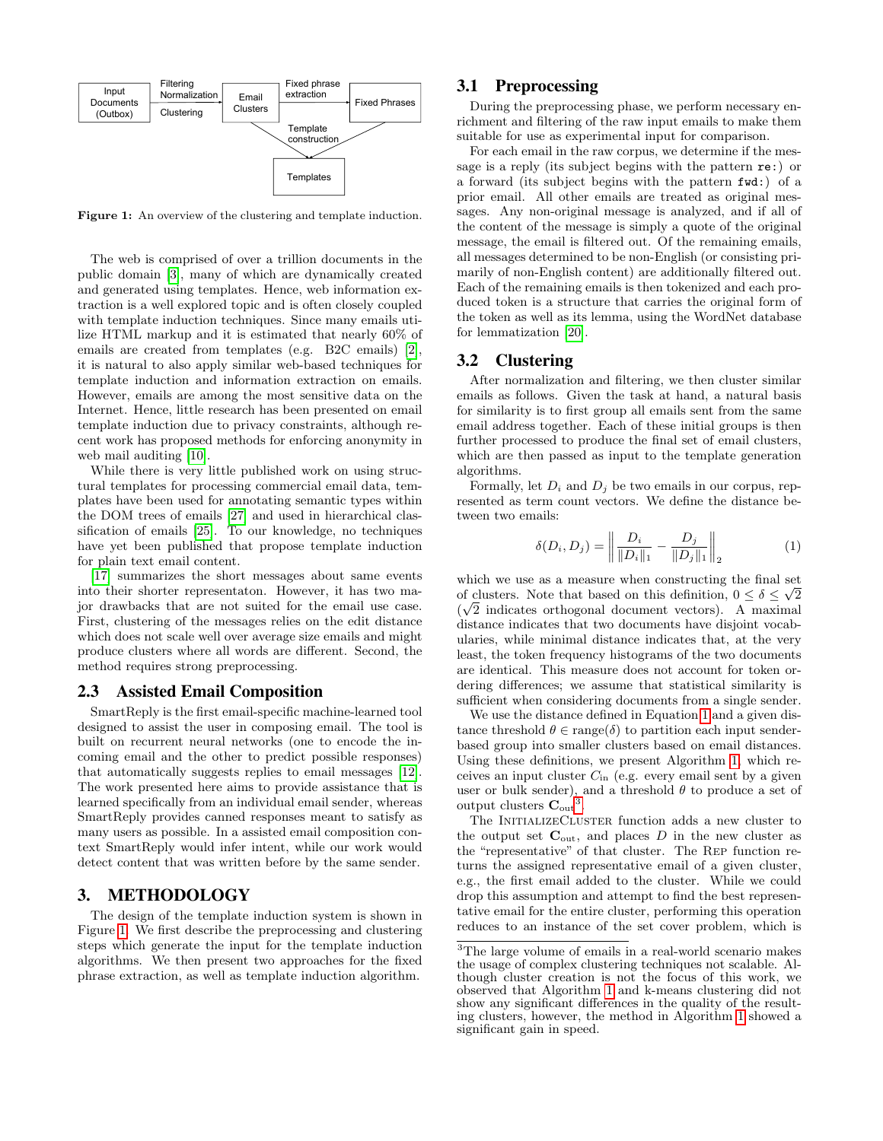<span id="page-2-1"></span>

Figure 1: An overview of the clustering and template induction.

The web is comprised of over a trillion documents in the public domain [\[3\]](#page-9-20), many of which are dynamically created and generated using templates. Hence, web information extraction is a well explored topic and is often closely coupled with template induction techniques. Since many emails utilize HTML markup and it is estimated that nearly 60% of emails are created from templates (e.g. B2C emails) [\[2\]](#page-9-18), it is natural to also apply similar web-based techniques for template induction and information extraction on emails. However, emails are among the most sensitive data on the Internet. Hence, little research has been presented on email template induction due to privacy constraints, although recent work has proposed methods for enforcing anonymity in web mail auditing [\[10\]](#page-9-21).

While there is very little published work on using structural templates for processing commercial email data, templates have been used for annotating semantic types within the DOM trees of emails [\[27\]](#page-9-22) and used in hierarchical classification of emails [\[25\]](#page-9-16). To our knowledge, no techniques have yet been published that propose template induction for plain text email content.

[\[17\]](#page-9-23) summarizes the short messages about same events into their shorter representaton. However, it has two major drawbacks that are not suited for the email use case. First, clustering of the messages relies on the edit distance which does not scale well over average size emails and might produce clusters where all words are different. Second, the method requires strong preprocessing.

### 2.3 Assisted Email Composition

SmartReply is the first email-specific machine-learned tool designed to assist the user in composing email. The tool is built on recurrent neural networks (one to encode the incoming email and the other to predict possible responses) that automatically suggests replies to email messages [\[12\]](#page-9-24). The work presented here aims to provide assistance that is learned specifically from an individual email sender, whereas SmartReply provides canned responses meant to satisfy as many users as possible. In a assisted email composition context SmartReply would infer intent, while our work would detect content that was written before by the same sender.

# <span id="page-2-0"></span>3. METHODOLOGY

The design of the template induction system is shown in Figure [1.](#page-2-1) We first describe the preprocessing and clustering steps which generate the input for the template induction algorithms. We then present two approaches for the fixed phrase extraction, as well as template induction algorithm.

# 3.1 Preprocessing

During the preprocessing phase, we perform necessary enrichment and filtering of the raw input emails to make them suitable for use as experimental input for comparison.

For each email in the raw corpus, we determine if the message is a reply (its subject begins with the pattern re:) or a forward (its subject begins with the pattern fwd:) of a prior email. All other emails are treated as original messages. Any non-original message is analyzed, and if all of the content of the message is simply a quote of the original message, the email is filtered out. Of the remaining emails, all messages determined to be non-English (or consisting primarily of non-English content) are additionally filtered out. Each of the remaining emails is then tokenized and each produced token is a structure that carries the original form of the token as well as its lemma, using the WordNet database for lemmatization [\[20\]](#page-9-25).

# 3.2 Clustering

After normalization and filtering, we then cluster similar emails as follows. Given the task at hand, a natural basis for similarity is to first group all emails sent from the same email address together. Each of these initial groups is then further processed to produce the final set of email clusters, which are then passed as input to the template generation algorithms.

Formally, let  $D_i$  and  $D_j$  be two emails in our corpus, represented as term count vectors. We define the distance between two emails:

<span id="page-2-2"></span>
$$
\delta(D_i, D_j) = \left\| \frac{D_i}{\|D_i\|_1} - \frac{D_j}{\|D_j\|_1} \right\|_2
$$
 (1)

which we use as a measure when constructing the final set of clusters. Note that based on this definition,  $0 \le \delta \le \sqrt{2}$  $(\sqrt{2} \text{ indicates orthogonal document vectors}).$  A maximal distance indicates that two documents have disjoint vocabularies, while minimal distance indicates that, at the very least, the token frequency histograms of the two documents are identical. This measure does not account for token ordering differences; we assume that statistical similarity is sufficient when considering documents from a single sender.

We use the distance defined in Equation [1](#page-2-2) and a given distance threshold  $\theta \in \text{range}(\delta)$  to partition each input senderbased group into smaller clusters based on email distances. Using these definitions, we present Algorithm [1,](#page-3-0) which receives an input cluster  $C_{\text{in}}$  (e.g. every email sent by a given user or bulk sender), and a threshold  $\theta$  to produce a set of output clusters  $C_{\text{out}}^3$  $C_{\text{out}}^3$ .

The INITIALIZECLUSTER function adds a new cluster to the output set  $C_{\text{out}}$ , and places D in the new cluster as the "representative" of that cluster. The Rep function returns the assigned representative email of a given cluster, e.g., the first email added to the cluster. While we could drop this assumption and attempt to find the best representative email for the entire cluster, performing this operation reduces to an instance of the set cover problem, which is

<span id="page-2-3"></span><sup>3</sup>The large volume of emails in a real-world scenario makes the usage of complex clustering techniques not scalable. Although cluster creation is not the focus of this work, we observed that Algorithm [1](#page-3-0) and k-means clustering did not show any significant differences in the quality of the resulting clusters, however, the method in Algorithm [1](#page-3-0) showed a significant gain in speed.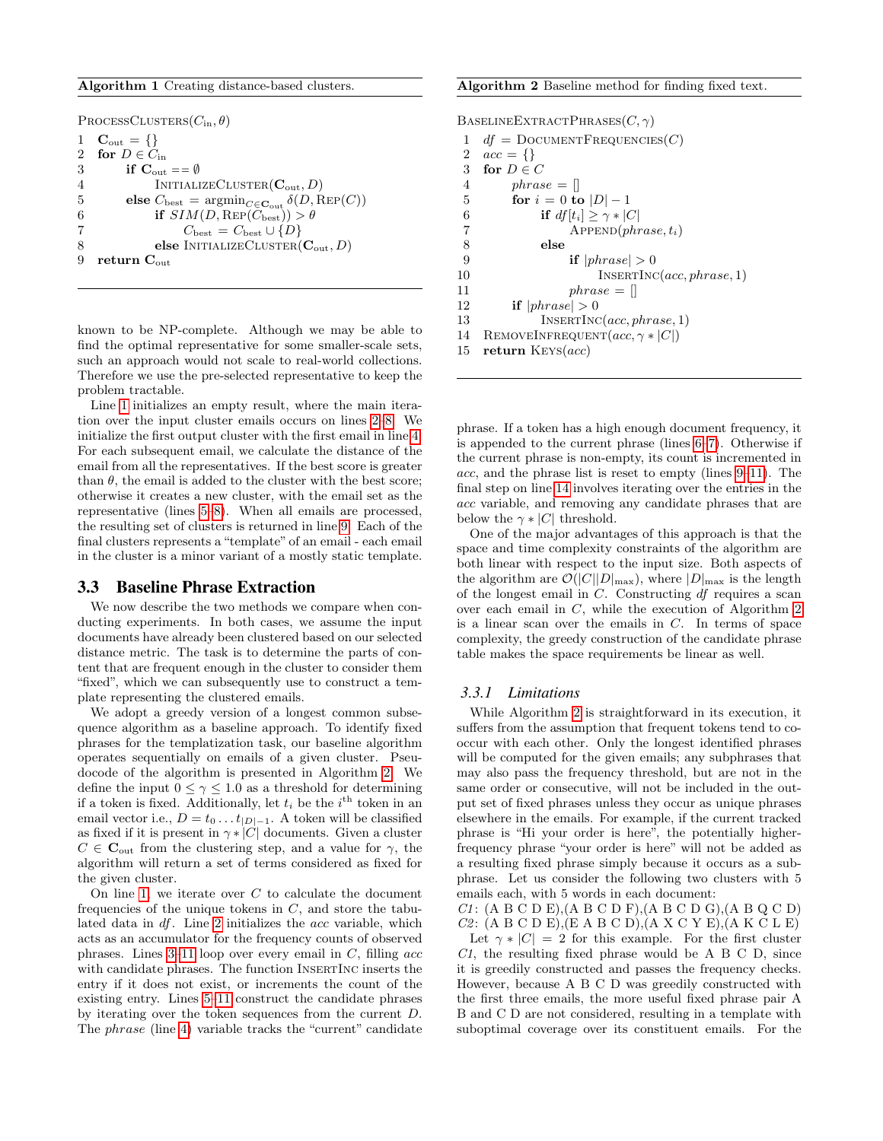#### <span id="page-3-0"></span>Algorithm 1 Creating distance-based clusters.

| PROCESSCLUSTERS $(C_{\text{in}}, \theta)$ |                                                                                                         |  |  |  |
|-------------------------------------------|---------------------------------------------------------------------------------------------------------|--|--|--|
|                                           | 1 $C_{\text{out}} = \{\}\$                                                                              |  |  |  |
|                                           | 2 for $D \in C_{\text{in}}$                                                                             |  |  |  |
| 3                                         | if $C_{\text{out}} == \emptyset$                                                                        |  |  |  |
| 4                                         | INITIALIZECLUSTER $(\mathbf{C}_{\text{out}}, D)$                                                        |  |  |  |
| 5                                         | else $C_{\text{best}} = \operatorname{argmin}_{C \in \mathbf{C}_{\text{out}}} \delta(D, \text{Rep}(C))$ |  |  |  |
| 6                                         | if $SIM(D, \text{Rep}(\widetilde{C}_{\text{best}})) > \theta$                                           |  |  |  |
|                                           | $C_{\text{best}} = C_{\text{best}} \cup \{D\}$                                                          |  |  |  |
| 8                                         | else INITIALIZECLUSTER $(C_{\text{out}}, D)$                                                            |  |  |  |
|                                           | return $C_{\text{out}}$                                                                                 |  |  |  |

known to be NP-complete. Although we may be able to find the optimal representative for some smaller-scale sets, such an approach would not scale to real-world collections. Therefore we use the pre-selected representative to keep the problem tractable.

Line [1](#page-3-0) initializes an empty result, where the main iteration over the input cluster emails occurs on lines [2–8.](#page-3-0) We initialize the first output cluster with the first email in line [4.](#page-3-0) For each subsequent email, we calculate the distance of the email from all the representatives. If the best score is greater than  $\theta$ , the email is added to the cluster with the best score; otherwise it creates a new cluster, with the email set as the representative (lines [5–8\)](#page-3-0). When all emails are processed, the resulting set of clusters is returned in line [9.](#page-3-0) Each of the final clusters represents a "template" of an email - each email in the cluster is a minor variant of a mostly static template.

### 3.3 Baseline Phrase Extraction

We now describe the two methods we compare when conducting experiments. In both cases, we assume the input documents have already been clustered based on our selected distance metric. The task is to determine the parts of content that are frequent enough in the cluster to consider them "fixed", which we can subsequently use to construct a template representing the clustered emails.

We adopt a greedy version of a longest common subsequence algorithm as a baseline approach. To identify fixed phrases for the templatization task, our baseline algorithm operates sequentially on emails of a given cluster. Pseudocode of the algorithm is presented in Algorithm [2.](#page-3-1) We define the input  $0 \le \gamma \le 1.0$  as a threshold for determining if a token is fixed. Additionally, let  $t_i$  be the  $i^{\text{th}}$  token in an email vector i.e.,  $D = t_0 \dots t_{|D|-1}$ . A token will be classified as fixed if it is present in  $\gamma * |C|$  documents. Given a cluster  $C \in \mathbf{C}_{\text{out}}$  from the clustering step, and a value for  $\gamma$ , the algorithm will return a set of terms considered as fixed for the given cluster.

On line [1,](#page-3-1) we iterate over  $C$  to calculate the document frequencies of the unique tokens in  $C$ , and store the tabulated data in df. Line [2](#page-3-1) initializes the acc variable, which acts as an accumulator for the frequency counts of observed phrases. Lines  $3-11$  loop over every email in C, filling acc with candidate phrases. The function INSERTINC inserts the entry if it does not exist, or increments the count of the existing entry. Lines [5–11](#page-3-1) construct the candidate phrases by iterating over the token sequences from the current D. The phrase (line [4\)](#page-3-1) variable tracks the "current" candidate

#### <span id="page-3-1"></span>Algorithm 2 Baseline method for finding fixed text.

```
BASELINEEXTRACTPHRASES(C, \gamma)1 df = DOCUMENTFREQUENCIES(C)
 2 acc = \{\}<br>3 for D \in \mathcal{C}3 for D \in C<br>4 phras
           phrase = []5 for i = 0 to |D| - 1<br>6 if df[t_i] \ge \gamma * |C|6 if df[t_i] \ge \gamma * |C|<br>7 APPEND(phi
                       APPEND(phrase, t_i)8 else
9 \text{if } |phrase| > 0<br>10 INSERTING
                             INSENTINC(acc, phrase, 1)11 phrase = []12 if |phrase| > 0<br>13 INSERTING
                 INSENTINC(acc, phrase, 1)14 REMOVEINFREQUENT(ac, \gamma * |C|)<br>15 return KEYS(acc)
```

```
return Kers(ac)
```
phrase. If a token has a high enough document frequency, it is appended to the current phrase (lines [6–7\)](#page-3-1). Otherwise if the current phrase is non-empty, its count is incremented in acc, and the phrase list is reset to empty (lines [9–11\)](#page-3-1). The final step on line [14](#page-3-1) involves iterating over the entries in the acc variable, and removing any candidate phrases that are below the  $\gamma * |C|$  threshold.

One of the major advantages of this approach is that the space and time complexity constraints of the algorithm are both linear with respect to the input size. Both aspects of the algorithm are  $\mathcal{O}(|C||D|_{\text{max}})$ , where  $|D|_{\text{max}}$  is the length of the longest email in  $C$ . Constructing  $df$  requires a scan over each email in C, while the execution of Algorithm [2](#page-3-1) is a linear scan over the emails in  $C$ . In terms of space complexity, the greedy construction of the candidate phrase table makes the space requirements be linear as well.

### <span id="page-3-2"></span>*3.3.1 Limitations*

While Algorithm [2](#page-3-1) is straightforward in its execution, it suffers from the assumption that frequent tokens tend to cooccur with each other. Only the longest identified phrases will be computed for the given emails; any subphrases that may also pass the frequency threshold, but are not in the same order or consecutive, will not be included in the output set of fixed phrases unless they occur as unique phrases elsewhere in the emails. For example, if the current tracked phrase is "Hi your order is here", the potentially higherfrequency phrase "your order is here" will not be added as a resulting fixed phrase simply because it occurs as a subphrase. Let us consider the following two clusters with 5 emails each, with 5 words in each document:

 $C1: (A B C D E), (A B C D F), (A B C D G), (A B Q C D)$  $C2:$  (A B C D E), (E A B C D), (A X C Y E), (A K C L E)

Let  $\gamma * |C| = 2$  for this example. For the first cluster C1, the resulting fixed phrase would be A B C D, since it is greedily constructed and passes the frequency checks. However, because A B C D was greedily constructed with the first three emails, the more useful fixed phrase pair A B and C D are not considered, resulting in a template with suboptimal coverage over its constituent emails. For the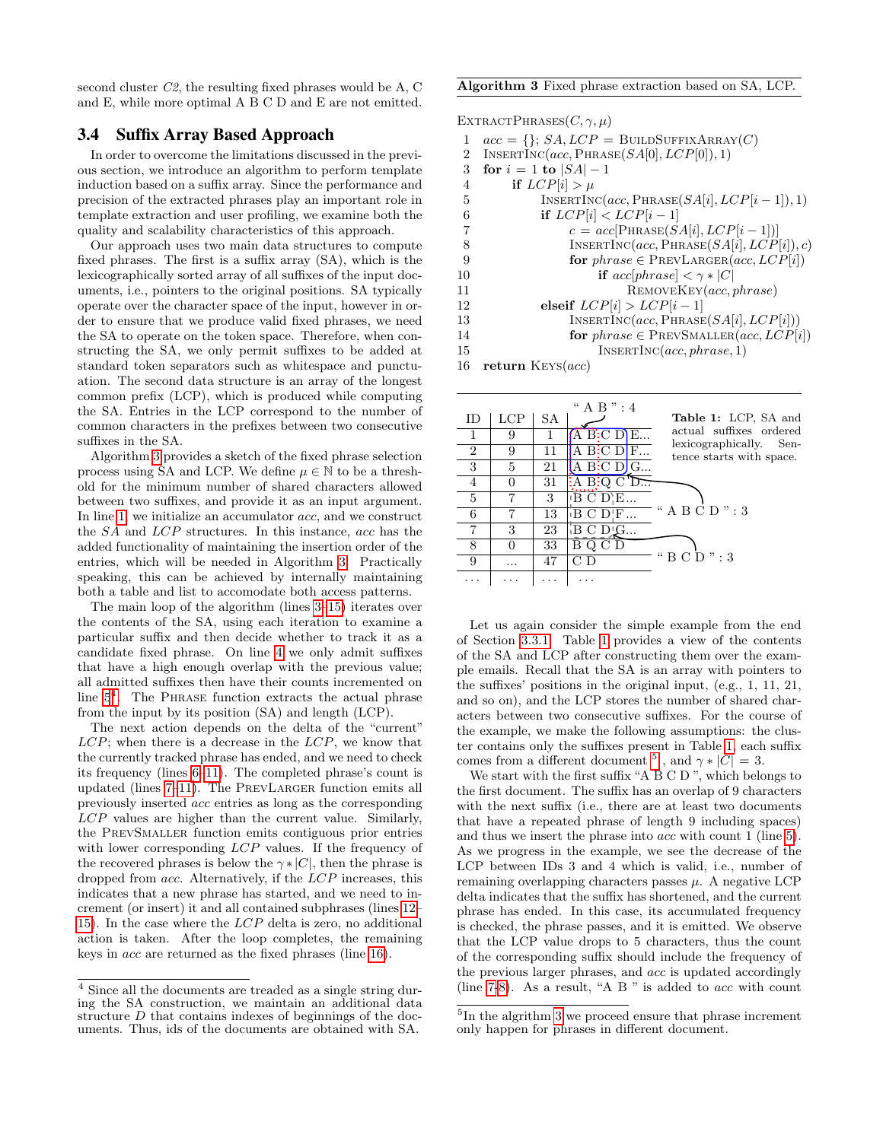second cluster  $C2$ , the resulting fixed phrases would be A, C and E, while more optimal A B C D and E are not emitted.

# 3.4 Suffix Array Based Approach

In order to overcome the limitations discussed in the previous section, we introduce an algorithm to perform template induction based on a suffix array. Since the performance and precision of the extracted phrases play an important role in template extraction and user profiling, we examine both the quality and scalability characteristics of this approach.

Our approach uses two main data structures to compute fixed phrases. The first is a suffix array (SA), which is the lexicographically sorted array of all suffixes of the input documents, i.e., pointers to the original positions. SA typically operate over the character space of the input, however in order to ensure that we produce valid fixed phrases, we need the SA to operate on the token space. Therefore, when constructing the SA, we only permit suffixes to be added at standard token separators such as whitespace and punctuation. The second data structure is an array of the longest common prefix (LCP), which is produced while computing the SA. Entries in the LCP correspond to the number of common characters in the prefixes between two consecutive suffixes in the SA.

Algorithm [3](#page-4-0) provides a sketch of the fixed phrase selection process using SA and LCP. We define  $\mu \in \mathbb{N}$  to be a threshold for the minimum number of shared characters allowed between two suffixes, and provide it as an input argument. In line [1,](#page-4-0) we initialize an accumulator acc, and we construct the SA and LCP structures. In this instance, acc has the added functionality of maintaining the insertion order of the entries, which will be needed in Algorithm [3.](#page-4-0) Practically speaking, this can be achieved by internally maintaining both a table and list to accomodate both access patterns.

The main loop of the algorithm (lines [3–15\)](#page-4-0) iterates over the contents of the SA, using each iteration to examine a particular suffix and then decide whether to track it as a candidate fixed phrase. On line [4](#page-4-0) we only admit suffixes that have a high enough overlap with the previous value; all admitted suffixes then have their counts incremented on line  $5<sup>4</sup>$  $5<sup>4</sup>$  $5<sup>4</sup>$ . The PHRASE function extracts the actual phrase from the input by its position (SA) and length (LCP).

The next action depends on the delta of the "current"  $LCP$ ; when there is a decrease in the  $LCP$ , we know that the currently tracked phrase has ended, and we need to check its frequency (lines [6–11\)](#page-4-0). The completed phrase's count is updated (lines [7–11\)](#page-4-0). The PrevLarger function emits all previously inserted acc entries as long as the corresponding LCP values are higher than the current value. Similarly, the PrevSmaller function emits contiguous prior entries with lower corresponding  $LCP$  values. If the frequency of the recovered phrases is below the  $\gamma * |C|$ , then the phrase is dropped from acc. Alternatively, if the LCP increases, this indicates that a new phrase has started, and we need to increment (or insert) it and all contained subphrases (lines [12–](#page-4-0) [15\)](#page-4-0). In the case where the LCP delta is zero, no additional action is taken. After the loop completes, the remaining keys in acc are returned as the fixed phrases (line [16\)](#page-4-0).

#### <span id="page-4-0"></span>Algorithm 3 Fixed phrase extraction based on SA, LCP.

|                | EXTRACTPHRASES $(C, \gamma, \mu)$             |  |  |  |  |
|----------------|-----------------------------------------------|--|--|--|--|
| 1              | $acc = \{\}; SA, LCP = BULDSUFFIXARRAY(C)$    |  |  |  |  |
| $\overline{2}$ | $INSENTINC(acc, PHRASE(SA[0], LCP[0]), 1)$    |  |  |  |  |
| 3              | for $i = 1$ to $ SA  - 1$                     |  |  |  |  |
| 4              | if $LCP[i] > \mu$                             |  |  |  |  |
| 5              | INSERTINC(acc, PHRASE( $SA[i], LCP[i-1], 1$ ) |  |  |  |  |
| 6              | if $LCP[i] < LCP[i-1]$                        |  |  |  |  |
| 7              | $c = acc[PHRASE(SA[i], LCP[i-1])]$            |  |  |  |  |
| 8              | INSERTINC(acc, PHRASE( $SA[i], LCP[i], c$ )   |  |  |  |  |
| 9              | for $phrase \in PREVLARGE(acc, LCP[i])$       |  |  |  |  |
| 10             | if $acc[phrase] < \gamma *  C $               |  |  |  |  |
| 11             | REMOVEKEY(acc, phrase)                        |  |  |  |  |
| 12             | elseif $LCP[i] > LCP[i-1]$                    |  |  |  |  |
| 13             | INSENTINC(acc, PHRASE(SA[i], LCP[i]))         |  |  |  |  |
| 14             | for $phrase \in PREVSMALLER(acc, LCP[i])$     |  |  |  |  |
| 15             | INSENTINC(acc, phrase, 1)                     |  |  |  |  |

16 return  $Kers(ac)$ 

<span id="page-4-2"></span>

|                |     |    | "A B" : 4                                                   |                                                     |
|----------------|-----|----|-------------------------------------------------------------|-----------------------------------------------------|
| ID             | LCP | SА |                                                             | <b>Table 1:</b> LCP, SA and                         |
|                | 9   |    | $\overline{A}$ B:C D E                                      | actual suffixes ordered                             |
| $\overline{2}$ | 9   |    | A B:C D F                                                   | lexicographically. Sen-<br>tence starts with space. |
| 3              | 5   | 21 | A B:C D $\mid$ G                                            |                                                     |
| 4              |     | 31 | $B/Q$ $C'D$                                                 |                                                     |
| 5              |     | 3  | $\overline{B}$ $\overline{C}$ $\overline{D}$ $\overline{E}$ |                                                     |
| 6              |     | 13 | iB C D!F                                                    | " A B C D $"$ : 3                                   |
|                | 3   | 23 | B C D'G                                                     |                                                     |
| 8              |     | 33 | В<br>Q C D                                                  |                                                     |
| 9              | .   | 47 | C D                                                         | "BCD" : 3                                           |
|                |     |    |                                                             |                                                     |

Let us again consider the simple example from the end of Section [3.3.1.](#page-3-2) Table [1](#page-4-2) provides a view of the contents of the SA and LCP after constructing them over the example emails. Recall that the SA is an array with pointers to the suffixes' positions in the original input, (e.g., 1, 11, 21, and so on), and the LCP stores the number of shared characters between two consecutive suffixes. For the course of the example, we make the following assumptions: the cluster contains only the suffixes present in Table [1,](#page-4-2) each suffix comes from a different document <sup>[5](#page-4-3)</sup>, and  $\gamma * |C| = 3$ .

We start with the first suffix "A B C D ", which belongs to the first document. The suffix has an overlap of 9 characters with the next suffix (i.e., there are at least two documents that have a repeated phrase of length 9 including spaces) and thus we insert the phrase into acc with count 1 (line [5\)](#page-4-0). As we progress in the example, we see the decrease of the LCP between IDs 3 and 4 which is valid, i.e., number of remaining overlapping characters passes  $\mu$ . A negative LCP delta indicates that the suffix has shortened, and the current phrase has ended. In this case, its accumulated frequency is checked, the phrase passes, and it is emitted. We observe that the LCP value drops to 5 characters, thus the count of the corresponding suffix should include the frequency of the previous larger phrases, and acc is updated accordingly (line [7-8\)](#page-4-0). As a result, "A B " is added to acc with count

<span id="page-4-1"></span><sup>4</sup> Since all the documents are treaded as a single string during the SA construction, we maintain an additional data structure  $D$  that contains indexes of beginnings of the documents. Thus, ids of the documents are obtained with SA.

<span id="page-4-3"></span><sup>&</sup>lt;sup>5</sup>In the algrithm [3](#page-4-0) we proceed ensure that phrase increment only happen for phrases in different document.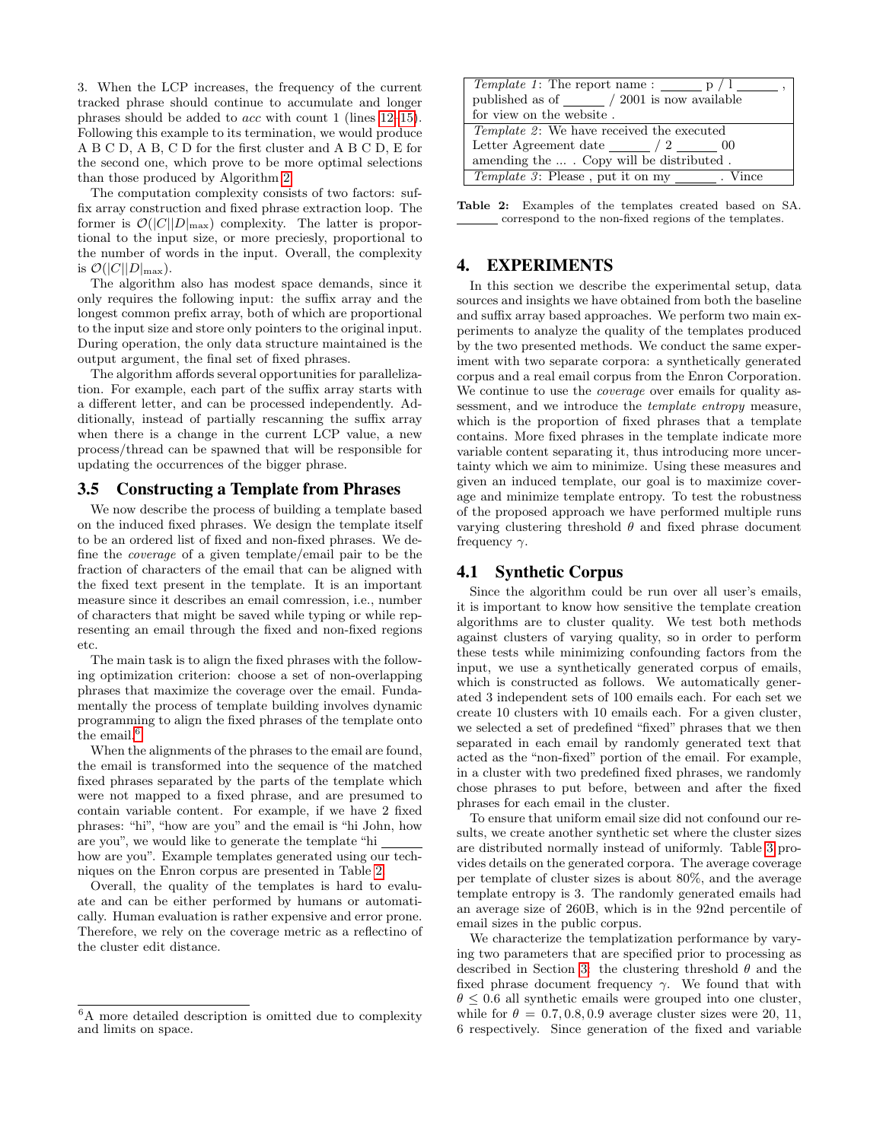3. When the LCP increases, the frequency of the current tracked phrase should continue to accumulate and longer phrases should be added to acc with count 1 (lines [12–15\)](#page-4-0). Following this example to its termination, we would produce A B C D, A B, C D for the first cluster and A B C D, E for the second one, which prove to be more optimal selections than those produced by Algorithm [2.](#page-3-1)

The computation complexity consists of two factors: suffix array construction and fixed phrase extraction loop. The former is  $\mathcal{O}(|C||D|_{\text{max}})$  complexity. The latter is proportional to the input size, or more preciesly, proportional to the number of words in the input. Overall, the complexity is  $\mathcal{O}(|C||D|_{\max})$ .

The algorithm also has modest space demands, since it only requires the following input: the suffix array and the longest common prefix array, both of which are proportional to the input size and store only pointers to the original input. During operation, the only data structure maintained is the output argument, the final set of fixed phrases.

The algorithm affords several opportunities for parallelization. For example, each part of the suffix array starts with a different letter, and can be processed independently. Additionally, instead of partially rescanning the suffix array when there is a change in the current LCP value, a new process/thread can be spawned that will be responsible for updating the occurrences of the bigger phrase.

# 3.5 Constructing a Template from Phrases

We now describe the process of building a template based on the induced fixed phrases. We design the template itself to be an ordered list of fixed and non-fixed phrases. We define the coverage of a given template/email pair to be the fraction of characters of the email that can be aligned with the fixed text present in the template. It is an important measure since it describes an email comression, i.e., number of characters that might be saved while typing or while representing an email through the fixed and non-fixed regions etc.

The main task is to align the fixed phrases with the following optimization criterion: choose a set of non-overlapping phrases that maximize the coverage over the email. Fundamentally the process of template building involves dynamic programming to align the fixed phrases of the template onto the email.<sup>[6](#page-5-1)</sup>

When the alignments of the phrases to the email are found, the email is transformed into the sequence of the matched fixed phrases separated by the parts of the template which were not mapped to a fixed phrase, and are presumed to contain variable content. For example, if we have 2 fixed phrases: "hi", "how are you" and the email is "hi John, how are you", we would like to generate the template "hi how are you". Example templates generated using our techniques on the Enron corpus are presented in Table [2.](#page-5-2)

Overall, the quality of the templates is hard to evaluate and can be either performed by humans or automatically. Human evaluation is rather expensive and error prone. Therefore, we rely on the coverage metric as a reflectino of the cluster edit distance.

<span id="page-5-2"></span>

| <i>Template 1</i> : The report name:<br>p/1       |
|---------------------------------------------------|
| published as of $\frac{1}{2001}$ is now available |
| for view on the website.                          |
| <i>Template 2:</i> We have received the executed  |
| Letter Agreement date $\frac{1}{2}$<br>$(1)$ (    |
| amending the  Copy will be distributed.           |
| <i>Template 3</i> : Please, put it on my<br>Vince |

Table 2: Examples of the templates created based on SA. correspond to the non-fixed regions of the templates.

# <span id="page-5-0"></span>4. EXPERIMENTS

In this section we describe the experimental setup, data sources and insights we have obtained from both the baseline and suffix array based approaches. We perform two main experiments to analyze the quality of the templates produced by the two presented methods. We conduct the same experiment with two separate corpora: a synthetically generated corpus and a real email corpus from the Enron Corporation. We continue to use the coverage over emails for quality assessment, and we introduce the template entropy measure, which is the proportion of fixed phrases that a template contains. More fixed phrases in the template indicate more variable content separating it, thus introducing more uncertainty which we aim to minimize. Using these measures and given an induced template, our goal is to maximize coverage and minimize template entropy. To test the robustness of the proposed approach we have performed multiple runs varying clustering threshold  $\theta$  and fixed phrase document frequency  $\gamma$ .

### 4.1 Synthetic Corpus

Since the algorithm could be run over all user's emails, it is important to know how sensitive the template creation algorithms are to cluster quality. We test both methods against clusters of varying quality, so in order to perform these tests while minimizing confounding factors from the input, we use a synthetically generated corpus of emails, which is constructed as follows. We automatically generated 3 independent sets of 100 emails each. For each set we create 10 clusters with 10 emails each. For a given cluster, we selected a set of predefined "fixed" phrases that we then separated in each email by randomly generated text that acted as the "non-fixed" portion of the email. For example, in a cluster with two predefined fixed phrases, we randomly chose phrases to put before, between and after the fixed phrases for each email in the cluster.

To ensure that uniform email size did not confound our results, we create another synthetic set where the cluster sizes are distributed normally instead of uniformly. Table [3](#page-6-0) provides details on the generated corpora. The average coverage per template of cluster sizes is about 80%, and the average template entropy is 3. The randomly generated emails had an average size of 260B, which is in the 92nd percentile of email sizes in the public corpus.

We characterize the templatization performance by varying two parameters that are specified prior to processing as described in Section [3:](#page-2-0) the clustering threshold  $\theta$  and the fixed phrase document frequency  $\gamma$ . We found that with  $\theta \leq 0.6$  all synthetic emails were grouped into one cluster, while for  $\theta = 0.7, 0.8, 0.9$  average cluster sizes were 20, 11, 6 respectively. Since generation of the fixed and variable

<span id="page-5-1"></span><sup>6</sup>A more detailed description is omitted due to complexity and limits on space.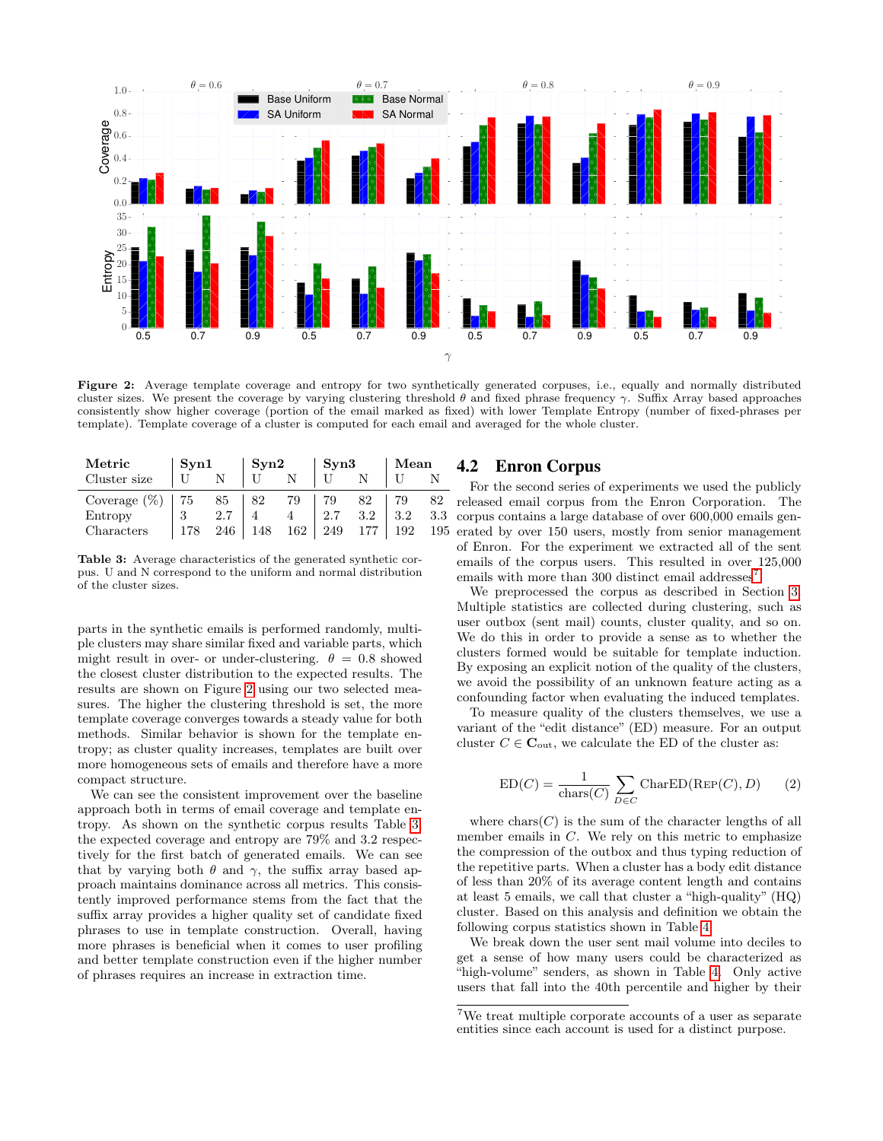<span id="page-6-1"></span>

Figure 2: Average template coverage and entropy for two synthetically generated corpuses, i.e., equally and normally distributed cluster sizes. We present the coverage by varying clustering threshold  $\theta$  and fixed phrase frequency  $\gamma$ . Suffix Array based approaches consistently show higher coverage (portion of the email marked as fixed) with lower Template Entropy (number of fixed-phrases per template). Template coverage of a cluster is computed for each email and averaged for the whole cluster.

<span id="page-6-0"></span>

| Metric                     | $\mathbf{Syn1}$ |     | Syn2 |     | Syn3 |     | Mean |     |
|----------------------------|-----------------|-----|------|-----|------|-----|------|-----|
| Cluster size               |                 |     |      |     |      |     |      |     |
| Coverage $(\%)$<br>Entropy | 75              | 85  | 82   | 79  | 79   | 82  | 79   | 82  |
|                            | 2               | 2.7 |      |     | 2.7  | 3.2 | 3.2  | 3.3 |
| Characters                 |                 | 246 | 148  | 162 | 249  |     | 192  | 195 |

Table 3: Average characteristics of the generated synthetic corpus. U and N correspond to the uniform and normal distribution of the cluster sizes.

parts in the synthetic emails is performed randomly, multiple clusters may share similar fixed and variable parts, which might result in over- or under-clustering.  $\theta = 0.8$  showed the closest cluster distribution to the expected results. The results are shown on Figure [2](#page-6-1) using our two selected measures. The higher the clustering threshold is set, the more template coverage converges towards a steady value for both methods. Similar behavior is shown for the template entropy; as cluster quality increases, templates are built over more homogeneous sets of emails and therefore have a more compact structure.

We can see the consistent improvement over the baseline approach both in terms of email coverage and template entropy. As shown on the synthetic corpus results Table [3,](#page-6-0) the expected coverage and entropy are 79% and 3.2 respectively for the first batch of generated emails. We can see that by varying both  $\theta$  and  $\gamma$ , the suffix array based approach maintains dominance across all metrics. This consistently improved performance stems from the fact that the suffix array provides a higher quality set of candidate fixed phrases to use in template construction. Overall, having more phrases is beneficial when it comes to user profiling and better template construction even if the higher number of phrases requires an increase in extraction time.

### 4.2 Enron Corpus

For the second series of experiments we used the publicly released email corpus from the Enron Corporation. The corpus contains a large database of over 600,000 emails generated by over 150 users, mostly from senior management of Enron. For the experiment we extracted all of the sent emails of the corpus users. This resulted in over 125,000 emails with more than 300 distinct email addresses<sup>[7](#page-6-2)</sup>.

We preprocessed the corpus as described in Section [3.](#page-2-0) Multiple statistics are collected during clustering, such as user outbox (sent mail) counts, cluster quality, and so on. We do this in order to provide a sense as to whether the clusters formed would be suitable for template induction. By exposing an explicit notion of the quality of the clusters, we avoid the possibility of an unknown feature acting as a confounding factor when evaluating the induced templates.

To measure quality of the clusters themselves, we use a variant of the "edit distance" (ED) measure. For an output cluster  $C \in \mathbf{C}_{\text{out}}$ , we calculate the ED of the cluster as:

$$
ED(C) = \frac{1}{\text{chars}(C)} \sum_{D \in C} \text{CharED}(\text{Rep}(C), D) \qquad (2)
$$

where  $\text{chars}(C)$  is the sum of the character lengths of all member emails in C. We rely on this metric to emphasize the compression of the outbox and thus typing reduction of the repetitive parts. When a cluster has a body edit distance of less than 20% of its average content length and contains at least 5 emails, we call that cluster a "high-quality" (HQ) cluster. Based on this analysis and definition we obtain the following corpus statistics shown in Table [4.](#page-7-0)

We break down the user sent mail volume into deciles to get a sense of how many users could be characterized as "high-volume" senders, as shown in Table [4.](#page-7-0) Only active users that fall into the 40th percentile and higher by their

<span id="page-6-2"></span><sup>7</sup>We treat multiple corporate accounts of a user as separate entities since each account is used for a distinct purpose.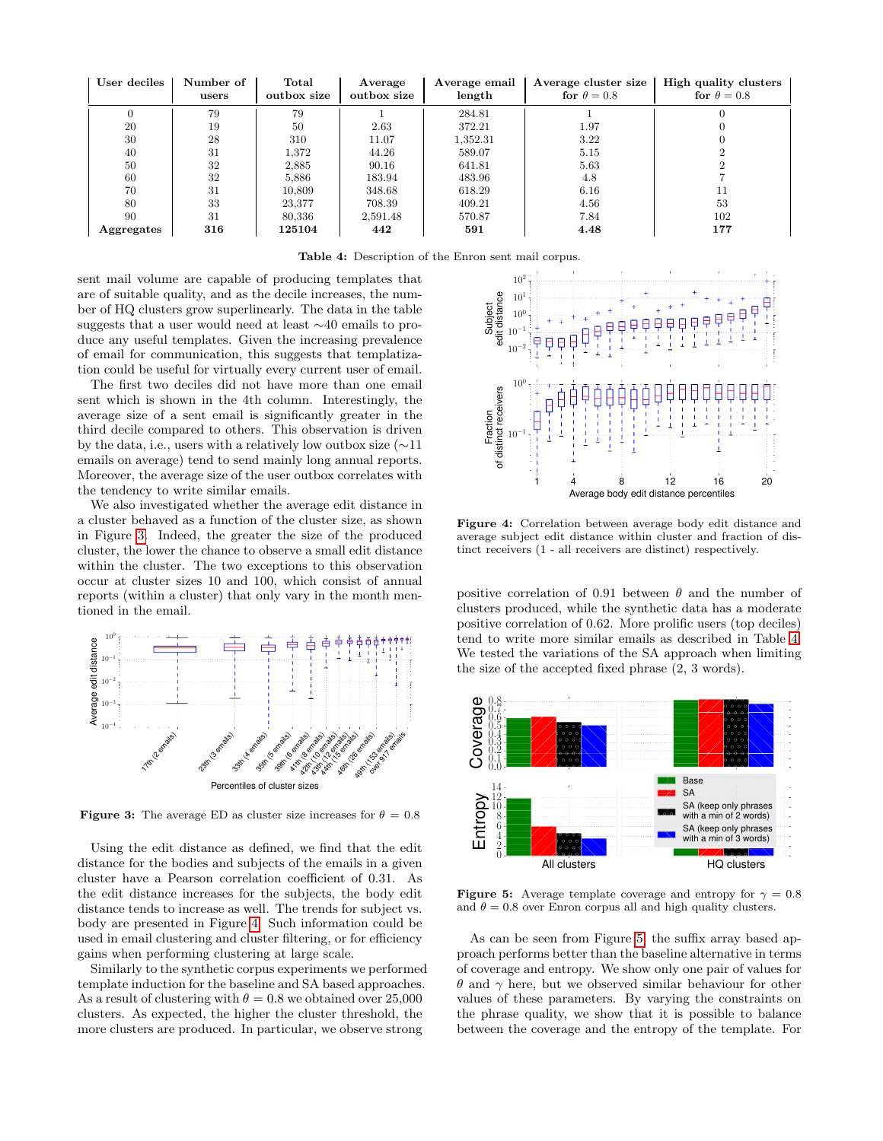<span id="page-7-0"></span>

| User deciles | Number of<br>users | Total<br>outbox size | Average<br>outbox size | Average email<br>length | Average cluster size<br>for $\theta = 0.8$ | High quality clusters<br>for $\theta = 0.8$ |
|--------------|--------------------|----------------------|------------------------|-------------------------|--------------------------------------------|---------------------------------------------|
|              | 79                 | 79                   |                        | 284.81                  |                                            |                                             |
| 20           | 19                 | 50                   | 2.63                   | 372.21                  | 1.97                                       |                                             |
| 30           | 28                 | 310                  | 11.07                  | 1.352.31                | 3.22                                       |                                             |
| 40           | 31                 | 1.372                | 44.26                  | 589.07                  | 5.15                                       |                                             |
| 50           | 32                 | 2.885                | 90.16                  | 641.81                  | 5.63                                       |                                             |
| 60           | 32                 | 5.886                | 183.94                 | 483.96                  | 4.8                                        |                                             |
| 70           | 31                 | 10.809               | 348.68                 | 618.29                  | 6.16                                       | 11                                          |
| 80           | 33                 | 23,377               | 708.39                 | 409.21                  | 4.56                                       | 53                                          |
| 90           | 31                 | 80.336               | 2,591.48               | 570.87                  | 7.84                                       | 102                                         |
| Aggregates   | 316                | 125104               | 442                    | 591                     | 4.48                                       | 177                                         |

Table 4: Description of the Enron sent mail corpus.

sent mail volume are capable of producing templates that are of suitable quality, and as the decile increases, the number of HQ clusters grow superlinearly. The data in the table suggests that a user would need at least ∼40 emails to produce any useful templates. Given the increasing prevalence of email for communication, this suggests that templatization could be useful for virtually every current user of email.

The first two deciles did not have more than one email sent which is shown in the 4th column. Interestingly, the average size of a sent email is significantly greater in the third decile compared to others. This observation is driven by the data, i.e., users with a relatively low outbox size (∼11 emails on average) tend to send mainly long annual reports. Moreover, the average size of the user outbox correlates with the tendency to write similar emails.

We also investigated whether the average edit distance in a cluster behaved as a function of the cluster size, as shown in Figure [3.](#page-7-1) Indeed, the greater the size of the produced cluster, the lower the chance to observe a small edit distance within the cluster. The two exceptions to this observation occur at cluster sizes 10 and 100, which consist of annual reports (within a cluster) that only vary in the month mentioned in the email.

<span id="page-7-1"></span>

**Figure 3:** The average ED as cluster size increases for  $\theta = 0.8$ 

Using the edit distance as defined, we find that the edit distance for the bodies and subjects of the emails in a given cluster have a Pearson correlation coefficient of 0.31. As the edit distance increases for the subjects, the body edit distance tends to increase as well. The trends for subject vs. body are presented in Figure [4.](#page-7-2) Such information could be used in email clustering and cluster filtering, or for efficiency gains when performing clustering at large scale.

Similarly to the synthetic corpus experiments we performed template induction for the baseline and SA based approaches. As a result of clustering with  $\theta = 0.8$  we obtained over 25,000 clusters. As expected, the higher the cluster threshold, the more clusters are produced. In particular, we observe strong

<span id="page-7-2"></span>

Figure 4: Correlation between average body edit distance and average subject edit distance within cluster and fraction of distinct receivers (1 - all receivers are distinct) respectively.

positive correlation of 0.91 between  $\theta$  and the number of clusters produced, while the synthetic data has a moderate positive correlation of 0.62. More prolific users (top deciles) tend to write more similar emails as described in Table [4.](#page-7-0) We tested the variations of the SA approach when limiting the size of the accepted fixed phrase (2, 3 words).

<span id="page-7-3"></span>

**Figure 5:** Average template coverage and entropy for  $\gamma = 0.8$ and  $\theta = 0.8$  over Enron corpus all and high quality clusters.

As can be seen from Figure [5,](#page-7-3) the suffix array based approach performs better than the baseline alternative in terms of coverage and entropy. We show only one pair of values for  $\theta$  and  $\gamma$  here, but we observed similar behaviour for other values of these parameters. By varying the constraints on the phrase quality, we show that it is possible to balance between the coverage and the entropy of the template. For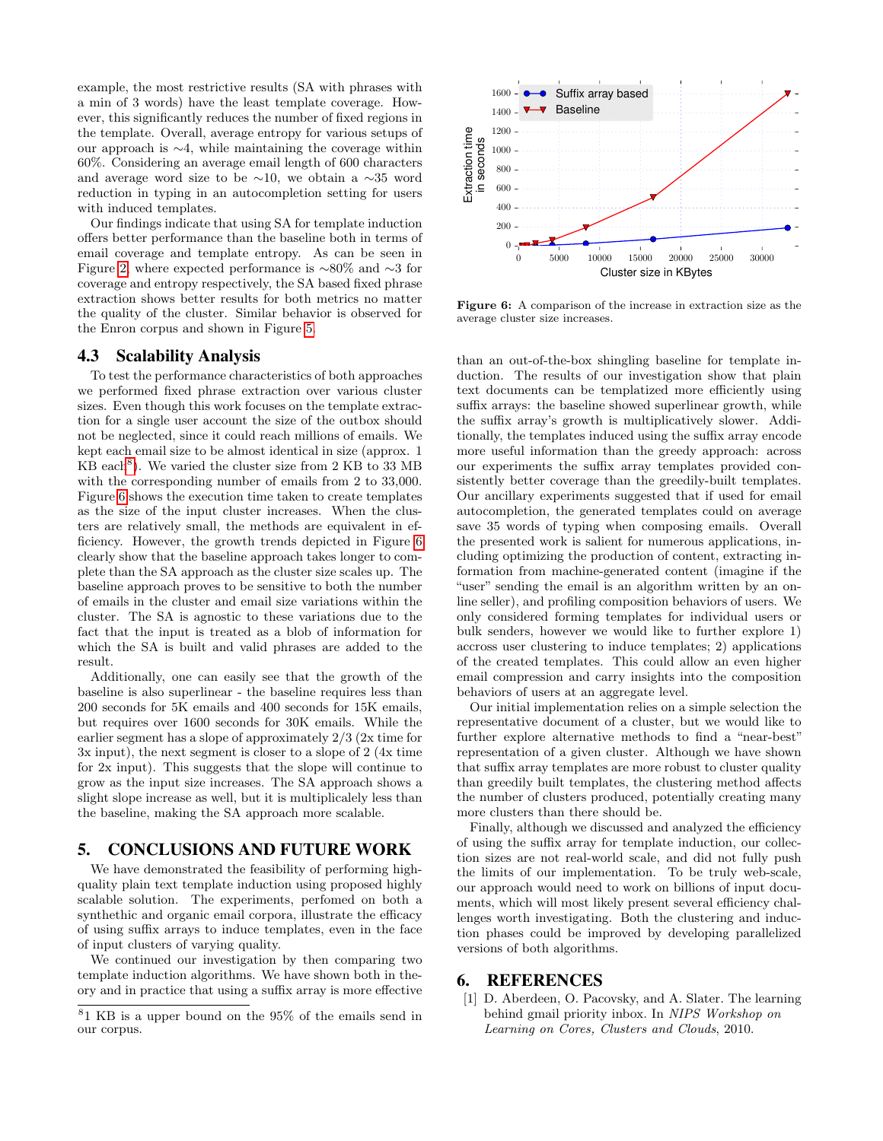example, the most restrictive results (SA with phrases with a min of 3 words) have the least template coverage. However, this significantly reduces the number of fixed regions in the template. Overall, average entropy for various setups of our approach is ∼4, while maintaining the coverage within 60%. Considering an average email length of 600 characters and average word size to be ∼10, we obtain a ∼35 word reduction in typing in an autocompletion setting for users with induced templates.

Our findings indicate that using SA for template induction offers better performance than the baseline both in terms of email coverage and template entropy. As can be seen in Figure [2,](#page-6-1) where expected performance is ∼80% and ∼3 for coverage and entropy respectively, the SA based fixed phrase extraction shows better results for both metrics no matter the quality of the cluster. Similar behavior is observed for the Enron corpus and shown in Figure [5.](#page-7-3)

# 4.3 Scalability Analysis

To test the performance characteristics of both approaches we performed fixed phrase extraction over various cluster sizes. Even though this work focuses on the template extraction for a single user account the size of the outbox should not be neglected, since it could reach millions of emails. We kept each email size to be almost identical in size (approx. 1  $KB$  each<sup>[8](#page-8-2)</sup>). We varied the cluster size from 2 KB to 33 MB with the corresponding number of emails from 2 to 33,000. Figure [6](#page-8-3) shows the execution time taken to create templates as the size of the input cluster increases. When the clusters are relatively small, the methods are equivalent in efficiency. However, the growth trends depicted in Figure [6](#page-8-3) clearly show that the baseline approach takes longer to complete than the SA approach as the cluster size scales up. The baseline approach proves to be sensitive to both the number of emails in the cluster and email size variations within the cluster. The SA is agnostic to these variations due to the fact that the input is treated as a blob of information for which the SA is built and valid phrases are added to the result.

Additionally, one can easily see that the growth of the baseline is also superlinear - the baseline requires less than 200 seconds for 5K emails and 400 seconds for 15K emails, but requires over 1600 seconds for 30K emails. While the earlier segment has a slope of approximately 2/3 (2x time for 3x input), the next segment is closer to a slope of 2 (4x time for 2x input). This suggests that the slope will continue to grow as the input size increases. The SA approach shows a slight slope increase as well, but it is multiplicalely less than the baseline, making the SA approach more scalable.

# <span id="page-8-0"></span>5. CONCLUSIONS AND FUTURE WORK

We have demonstrated the feasibility of performing highquality plain text template induction using proposed highly scalable solution. The experiments, perfomed on both a synthethic and organic email corpora, illustrate the efficacy of using suffix arrays to induce templates, even in the face of input clusters of varying quality.

We continued our investigation by then comparing two template induction algorithms. We have shown both in theory and in practice that using a suffix array is more effective

<span id="page-8-3"></span>

Figure 6: A comparison of the increase in extraction size as the average cluster size increases.

than an out-of-the-box shingling baseline for template induction. The results of our investigation show that plain text documents can be templatized more efficiently using suffix arrays: the baseline showed superlinear growth, while the suffix array's growth is multiplicatively slower. Additionally, the templates induced using the suffix array encode more useful information than the greedy approach: across our experiments the suffix array templates provided consistently better coverage than the greedily-built templates. Our ancillary experiments suggested that if used for email autocompletion, the generated templates could on average save 35 words of typing when composing emails. Overall the presented work is salient for numerous applications, including optimizing the production of content, extracting information from machine-generated content (imagine if the "user" sending the email is an algorithm written by an online seller), and profiling composition behaviors of users. We only considered forming templates for individual users or bulk senders, however we would like to further explore 1) accross user clustering to induce templates; 2) applications of the created templates. This could allow an even higher email compression and carry insights into the composition behaviors of users at an aggregate level.

Our initial implementation relies on a simple selection the representative document of a cluster, but we would like to further explore alternative methods to find a "near-best" representation of a given cluster. Although we have shown that suffix array templates are more robust to cluster quality than greedily built templates, the clustering method affects the number of clusters produced, potentially creating many more clusters than there should be.

Finally, although we discussed and analyzed the efficiency of using the suffix array for template induction, our collection sizes are not real-world scale, and did not fully push the limits of our implementation. To be truly web-scale, our approach would need to work on billions of input documents, which will most likely present several efficiency challenges worth investigating. Both the clustering and induction phases could be improved by developing parallelized versions of both algorithms.

### 6. REFERENCES

<span id="page-8-1"></span>[1] D. Aberdeen, O. Pacovsky, and A. Slater. The learning behind gmail priority inbox. In NIPS Workshop on Learning on Cores, Clusters and Clouds, 2010.

<span id="page-8-2"></span><sup>8</sup> 1 KB is a upper bound on the 95% of the emails send in our corpus.